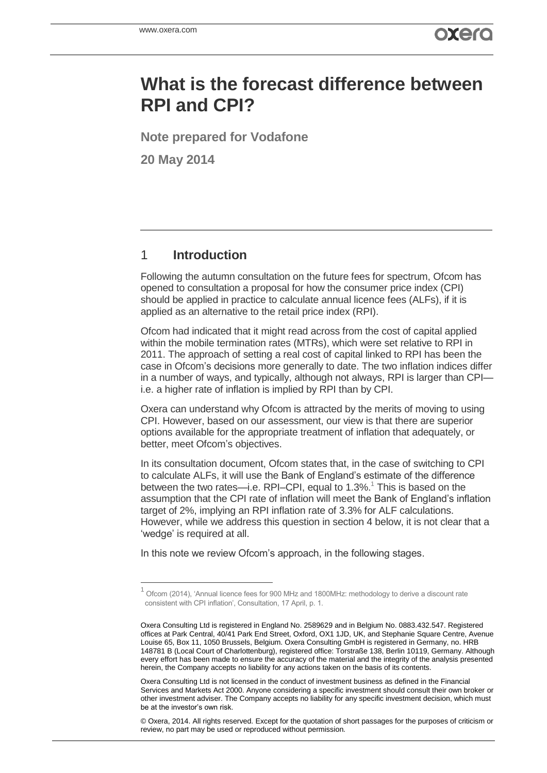# **What is the forecast difference between RPI and CPI?**

**Note prepared for Vodafone**

**20 May 2014**

### 1 **Introduction**

 $\overline{a}$ 

Following the autumn consultation on the future fees for spectrum, Ofcom has opened to consultation a proposal for how the consumer price index (CPI) should be applied in practice to calculate annual licence fees (ALFs), if it is applied as an alternative to the retail price index (RPI).

Ofcom had indicated that it might read across from the cost of capital applied within the mobile termination rates (MTRs), which were set relative to RPI in 2011. The approach of setting a real cost of capital linked to RPI has been the case in Ofcom's decisions more generally to date. The two inflation indices differ in a number of ways, and typically, although not always, RPI is larger than CPI i.e. a higher rate of inflation is implied by RPI than by CPI.

Oxera can understand why Ofcom is attracted by the merits of moving to using CPI. However, based on our assessment, our view is that there are superior options available for the appropriate treatment of inflation that adequately, or better, meet Ofcom's objectives.

In its consultation document, Ofcom states that, in the case of switching to CPI to calculate ALFs, it will use the Bank of England's estimate of the difference between the two rates—i.e. RPI–CPI, equal to  $1.3\%$ <sup>1</sup>. This is based on the assumption that the CPI rate of inflation will meet the Bank of England's inflation target of 2%, implying an RPI inflation rate of 3.3% for ALF calculations. However, while we address this question in section 4 below, it is not clear that a 'wedge' is required at all.

In this note we review Ofcom's approach, in the following stages.

Oxera Consulting Ltd is not licensed in the conduct of investment business as defined in the Financial Services and Markets Act 2000. Anyone considering a specific investment should consult their own broker or other investment adviser. The Company accepts no liability for any specific investment decision, which must be at the investor's own risk.

© Oxera, 2014. All rights reserved. Except for the quotation of short passages for the purposes of criticism or review, no part may be used or reproduced without permission.

<sup>1</sup> Ofcom (2014), 'Annual licence fees for 900 MHz and 1800MHz: methodology to derive a discount rate consistent with CPI inflation', Consultation, 17 April, p. 1.

Oxera Consulting Ltd is registered in England No. 2589629 and in Belgium No. 0883.432.547. Registered offices at Park Central, 40/41 Park End Street, Oxford, OX1 1JD, UK, and Stephanie Square Centre, Avenue Louise 65, Box 11, 1050 Brussels, Belgium. Oxera Consulting GmbH is registered in Germany, no. HRB 148781 B (Local Court of Charlottenburg), registered office: Torstraße 138, Berlin 10119, Germany. Although every effort has been made to ensure the accuracy of the material and the integrity of the analysis presented herein, the Company accepts no liability for any actions taken on the basis of its contents.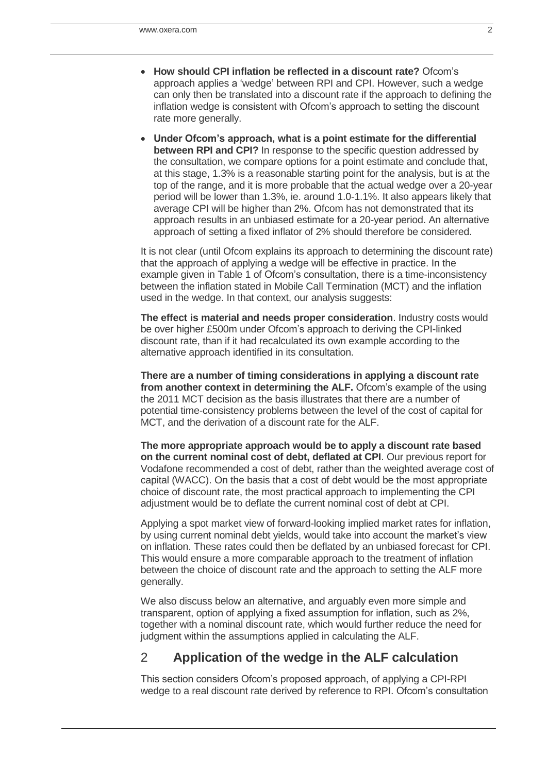- **How should CPI inflation be reflected in a discount rate?** Ofcom's approach applies a 'wedge' between RPI and CPI. However, such a wedge can only then be translated into a discount rate if the approach to defining the inflation wedge is consistent with Ofcom's approach to setting the discount rate more generally.
- **Under Ofcom's approach, what is a point estimate for the differential between RPI and CPI?** In response to the specific question addressed by the consultation, we compare options for a point estimate and conclude that, at this stage, 1.3% is a reasonable starting point for the analysis, but is at the top of the range, and it is more probable that the actual wedge over a 20-year period will be lower than 1.3%, ie. around 1.0-1.1%. It also appears likely that average CPI will be higher than 2%. Ofcom has not demonstrated that its approach results in an unbiased estimate for a 20-year period. An alternative approach of setting a fixed inflator of 2% should therefore be considered.

It is not clear (until Ofcom explains its approach to determining the discount rate) that the approach of applying a wedge will be effective in practice. In the example given in Table 1 of Ofcom's consultation, there is a time-inconsistency between the inflation stated in Mobile Call Termination (MCT) and the inflation used in the wedge. In that context, our analysis suggests:

**The effect is material and needs proper consideration**. Industry costs would be over higher £500m under Ofcom's approach to deriving the CPI-linked discount rate, than if it had recalculated its own example according to the alternative approach identified in its consultation.

**There are a number of timing considerations in applying a discount rate from another context in determining the ALF.** Ofcom's example of the using the 2011 MCT decision as the basis illustrates that there are a number of potential time-consistency problems between the level of the cost of capital for MCT, and the derivation of a discount rate for the ALF.

**The more appropriate approach would be to apply a discount rate based on the current nominal cost of debt, deflated at CPI**. Our previous report for Vodafone recommended a cost of debt, rather than the weighted average cost of capital (WACC). On the basis that a cost of debt would be the most appropriate choice of discount rate, the most practical approach to implementing the CPI adjustment would be to deflate the current nominal cost of debt at CPI.

Applying a spot market view of forward-looking implied market rates for inflation, by using current nominal debt yields, would take into account the market's view on inflation. These rates could then be deflated by an unbiased forecast for CPI. This would ensure a more comparable approach to the treatment of inflation between the choice of discount rate and the approach to setting the ALF more generally.

We also discuss below an alternative, and arguably even more simple and transparent, option of applying a fixed assumption for inflation, such as 2%, together with a nominal discount rate, which would further reduce the need for judgment within the assumptions applied in calculating the ALF.

## 2 **Application of the wedge in the ALF calculation**

This section considers Ofcom's proposed approach, of applying a CPI-RPI wedge to a real discount rate derived by reference to RPI. Ofcom's consultation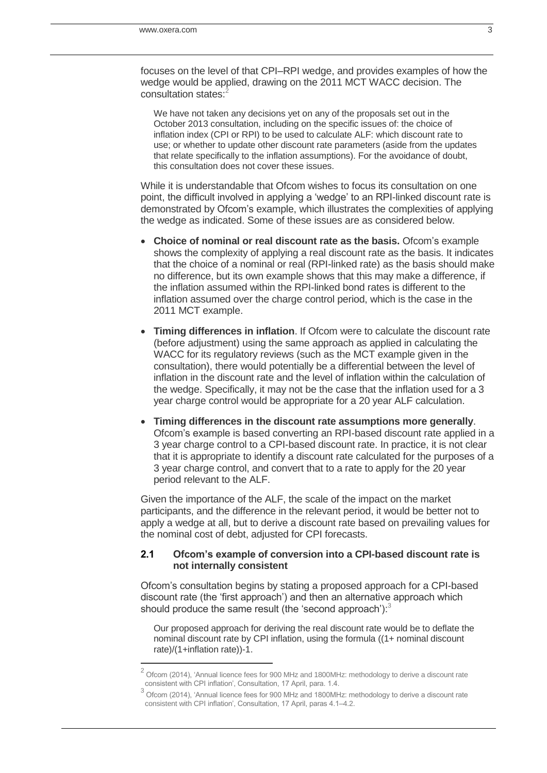j

focuses on the level of that CPI–RPI wedge, and provides examples of how the wedge would be applied, drawing on the 2011 MCT WACC decision. The consultation states:<sup>2</sup>

We have not taken any decisions yet on any of the proposals set out in the October 2013 consultation, including on the specific issues of: the choice of inflation index (CPI or RPI) to be used to calculate ALF: which discount rate to use; or whether to update other discount rate parameters (aside from the updates that relate specifically to the inflation assumptions). For the avoidance of doubt, this consultation does not cover these issues.

While it is understandable that Ofcom wishes to focus its consultation on one point, the difficult involved in applying a 'wedge' to an RPI-linked discount rate is demonstrated by Ofcom's example, which illustrates the complexities of applying the wedge as indicated. Some of these issues are as considered below.

- **Choice of nominal or real discount rate as the basis.** Ofcom's example shows the complexity of applying a real discount rate as the basis. It indicates that the choice of a nominal or real (RPI-linked rate) as the basis should make no difference, but its own example shows that this may make a difference, if the inflation assumed within the RPI-linked bond rates is different to the inflation assumed over the charge control period, which is the case in the 2011 MCT example.
- **Timing differences in inflation**. If Ofcom were to calculate the discount rate (before adjustment) using the same approach as applied in calculating the WACC for its regulatory reviews (such as the MCT example given in the consultation), there would potentially be a differential between the level of inflation in the discount rate and the level of inflation within the calculation of the wedge. Specifically, it may not be the case that the inflation used for a 3 year charge control would be appropriate for a 20 year ALF calculation.
- **Timing differences in the discount rate assumptions more generally**. Ofcom's example is based converting an RPI-based discount rate applied in a 3 year charge control to a CPI-based discount rate. In practice, it is not clear that it is appropriate to identify a discount rate calculated for the purposes of a 3 year charge control, and convert that to a rate to apply for the 20 year period relevant to the ALF.

Given the importance of the ALF, the scale of the impact on the market participants, and the difference in the relevant period, it would be better not to apply a wedge at all, but to derive a discount rate based on prevailing values for the nominal cost of debt, adjusted for CPI forecasts.

#### **2.1 Ofcom's example of conversion into a CPI-based discount rate is not internally consistent**

Ofcom's consultation begins by stating a proposed approach for a CPI-based discount rate (the 'first approach') and then an alternative approach which should produce the same result (the 'second approach'):<sup>3</sup>

Our proposed approach for deriving the real discount rate would be to deflate the nominal discount rate by CPI inflation, using the formula ((1+ nominal discount rate)/(1+inflation rate))-1.

<sup>2</sup> Ofcom (2014), 'Annual licence fees for 900 MHz and 1800MHz: methodology to derive a discount rate consistent with CPI inflation', Consultation, 17 April, para. 1.4.

 $^3$  Ofcom (2014), 'Annual licence fees for 900 MHz and 1800MHz: methodology to derive a discount rate consistent with CPI inflation', Consultation, 17 April, paras 4.1–4.2.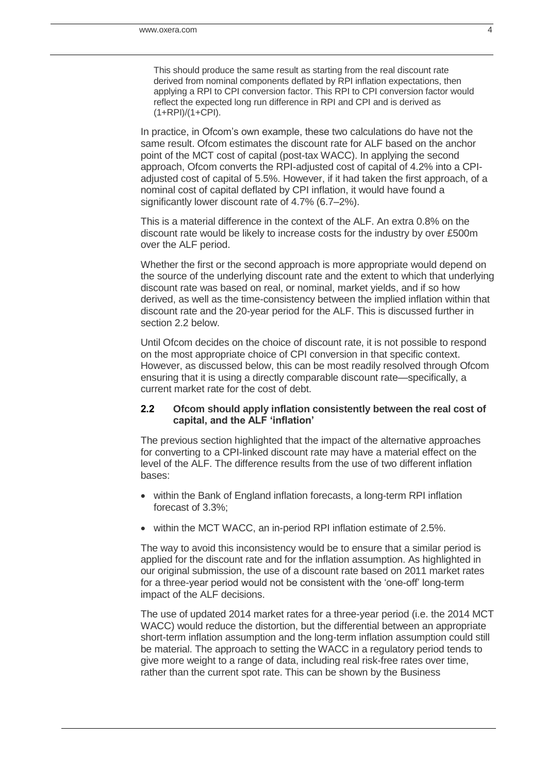This should produce the same result as starting from the real discount rate derived from nominal components deflated by RPI inflation expectations, then applying a RPI to CPI conversion factor. This RPI to CPI conversion factor would reflect the expected long run difference in RPI and CPI and is derived as (1+RPI)/(1+CPI).

In practice, in Ofcom's own example, these two calculations do have not the same result. Ofcom estimates the discount rate for ALF based on the anchor point of the MCT cost of capital (post-tax WACC). In applying the second approach, Ofcom converts the RPI-adjusted cost of capital of 4.2% into a CPIadjusted cost of capital of 5.5%. However, if it had taken the first approach, of a nominal cost of capital deflated by CPI inflation, it would have found a significantly lower discount rate of 4.7% (6.7–2%).

This is a material difference in the context of the ALF. An extra 0.8% on the discount rate would be likely to increase costs for the industry by over £500m over the ALF period.

Whether the first or the second approach is more appropriate would depend on the source of the underlying discount rate and the extent to which that underlying discount rate was based on real, or nominal, market yields, and if so how derived, as well as the time-consistency between the implied inflation within that discount rate and the 20-year period for the ALF. This is discussed further in section 2.2 below.

Until Ofcom decides on the choice of discount rate, it is not possible to respond on the most appropriate choice of CPI conversion in that specific context. However, as discussed below, this can be most readily resolved through Ofcom ensuring that it is using a directly comparable discount rate—specifically, a current market rate for the cost of debt.

#### **2.2 Ofcom should apply inflation consistently between the real cost of capital, and the ALF 'inflation'**

The previous section highlighted that the impact of the alternative approaches for converting to a CPI-linked discount rate may have a material effect on the level of the ALF. The difference results from the use of two different inflation bases:

- within the Bank of England inflation forecasts, a long-term RPI inflation forecast of 3.3%;
- within the MCT WACC, an in-period RPI inflation estimate of 2.5%.

The way to avoid this inconsistency would be to ensure that a similar period is applied for the discount rate and for the inflation assumption. As highlighted in our original submission, the use of a discount rate based on 2011 market rates for a three-year period would not be consistent with the 'one-off' long-term impact of the ALF decisions.

The use of updated 2014 market rates for a three-year period (i.e. the 2014 MCT WACC) would reduce the distortion, but the differential between an appropriate short-term inflation assumption and the long-term inflation assumption could still be material. The approach to setting the WACC in a regulatory period tends to give more weight to a range of data, including real risk-free rates over time, rather than the current spot rate. This can be shown by the Business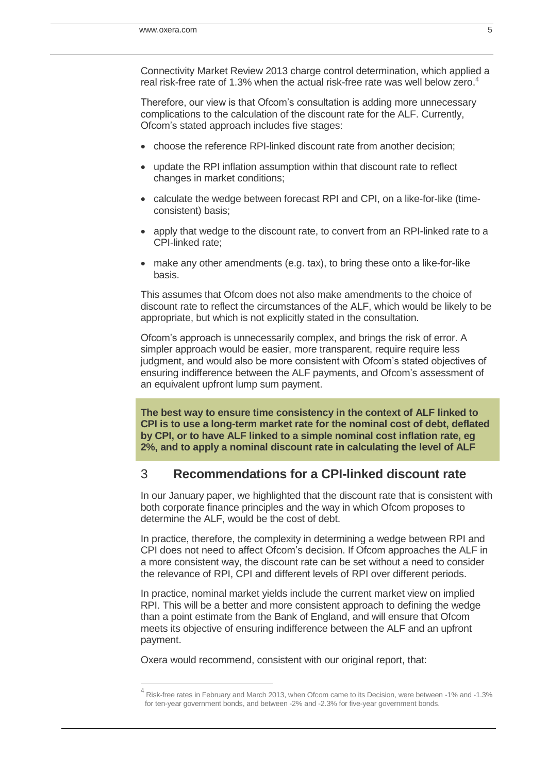Connectivity Market Review 2013 charge control determination, which applied a real risk-free rate of 1.3% when the actual risk-free rate was well below zero.<sup>4</sup>

Therefore, our view is that Ofcom's consultation is adding more unnecessary complications to the calculation of the discount rate for the ALF. Currently, Ofcom's stated approach includes five stages:

- choose the reference RPI-linked discount rate from another decision;
- update the RPI inflation assumption within that discount rate to reflect changes in market conditions;
- calculate the wedge between forecast RPI and CPI, on a like-for-like (timeconsistent) basis;
- apply that wedge to the discount rate, to convert from an RPI-linked rate to a CPI-linked rate;
- make any other amendments (e.g. tax), to bring these onto a like-for-like basis.

This assumes that Ofcom does not also make amendments to the choice of discount rate to reflect the circumstances of the ALF, which would be likely to be appropriate, but which is not explicitly stated in the consultation.

Ofcom's approach is unnecessarily complex, and brings the risk of error. A simpler approach would be easier, more transparent, require require less judgment, and would also be more consistent with Ofcom's stated objectives of ensuring indifference between the ALF payments, and Ofcom's assessment of an equivalent upfront lump sum payment.

**The best way to ensure time consistency in the context of ALF linked to CPI is to use a long-term market rate for the nominal cost of debt, deflated by CPI, or to have ALF linked to a simple nominal cost inflation rate, eg 2%, and to apply a nominal discount rate in calculating the level of ALF**

### 3 **Recommendations for a CPI-linked discount rate**

In our January paper, we highlighted that the discount rate that is consistent with both corporate finance principles and the way in which Ofcom proposes to determine the ALF, would be the cost of debt.

In practice, therefore, the complexity in determining a wedge between RPI and CPI does not need to affect Ofcom's decision. If Ofcom approaches the ALF in a more consistent way, the discount rate can be set without a need to consider the relevance of RPI, CPI and different levels of RPI over different periods.

In practice, nominal market yields include the current market view on implied RPI. This will be a better and more consistent approach to defining the wedge than a point estimate from the Bank of England, and will ensure that Ofcom meets its objective of ensuring indifference between the ALF and an upfront payment.

Oxera would recommend, consistent with our original report, that:

 $\overline{a}$ 

<sup>4</sup> Risk-free rates in February and March 2013, when Ofcom came to its Decision, were between -1% and -1.3% for ten-year government bonds, and between -2% and -2.3% for five-year government bonds.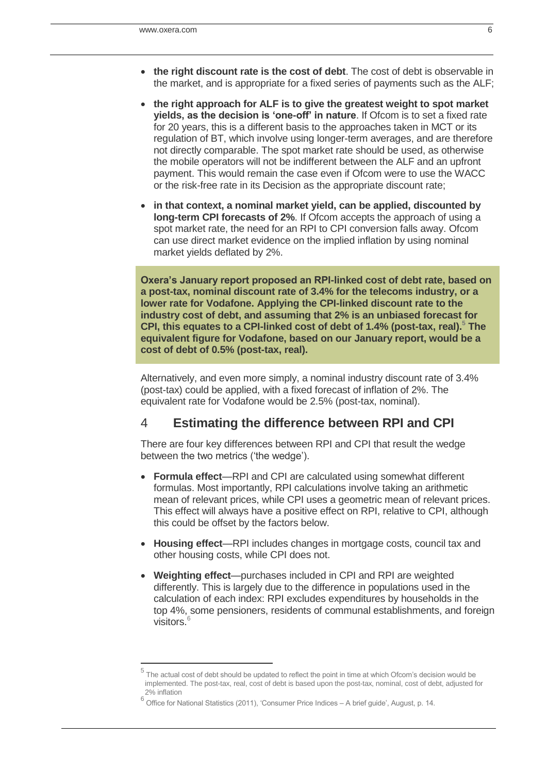j

- **the right discount rate is the cost of debt**. The cost of debt is observable in the market, and is appropriate for a fixed series of payments such as the ALF;
- **the right approach for ALF is to give the greatest weight to spot market yields, as the decision is 'one-off' in nature**. If Ofcom is to set a fixed rate for 20 years, this is a different basis to the approaches taken in MCT or its regulation of BT, which involve using longer-term averages, and are therefore not directly comparable. The spot market rate should be used, as otherwise the mobile operators will not be indifferent between the ALF and an upfront payment. This would remain the case even if Ofcom were to use the WACC or the risk-free rate in its Decision as the appropriate discount rate;
- **in that context, a nominal market yield, can be applied, discounted by long-term CPI forecasts of 2%**. If Ofcom accepts the approach of using a spot market rate, the need for an RPI to CPI conversion falls away. Ofcom can use direct market evidence on the implied inflation by using nominal market yields deflated by 2%.

**Oxera's January report proposed an RPI-linked cost of debt rate, based on a post-tax, nominal discount rate of 3.4% for the telecoms industry, or a lower rate for Vodafone. Applying the CPI-linked discount rate to the industry cost of debt, and assuming that 2% is an unbiased forecast for CPI, this equates to a CPI-linked cost of debt of 1.4% (post-tax, real).<sup>5</sup> The equivalent figure for Vodafone, based on our January report, would be a cost of debt of 0.5% (post-tax, real).**

Alternatively, and even more simply, a nominal industry discount rate of 3.4% (post-tax) could be applied, with a fixed forecast of inflation of 2%. The equivalent rate for Vodafone would be 2.5% (post-tax, nominal).

# 4 **Estimating the difference between RPI and CPI**

There are four key differences between RPI and CPI that result the wedge between the two metrics ('the wedge').

- **Formula effect**—RPI and CPI are calculated using somewhat different formulas. Most importantly, RPI calculations involve taking an arithmetic mean of relevant prices, while CPI uses a geometric mean of relevant prices. This effect will always have a positive effect on RPI, relative to CPI, although this could be offset by the factors below.
- **Housing effect**—RPI includes changes in mortgage costs, council tax and other housing costs, while CPI does not.
- **Weighting effect**—purchases included in CPI and RPI are weighted differently. This is largely due to the difference in populations used in the calculation of each index: RPI excludes expenditures by households in the top 4%, some pensioners, residents of communal establishments, and foreign visitors.<sup>6</sup>

<sup>&</sup>lt;sup>5</sup> The actual cost of debt should be updated to reflect the point in time at which Ofcom's decision would be implemented. The post-tax, real, cost of debt is based upon the post-tax, nominal, cost of debt, adjusted for 2% inflation

 $^6$  Office for National Statistics (2011), 'Consumer Price Indices – A brief guide', August, p. 14.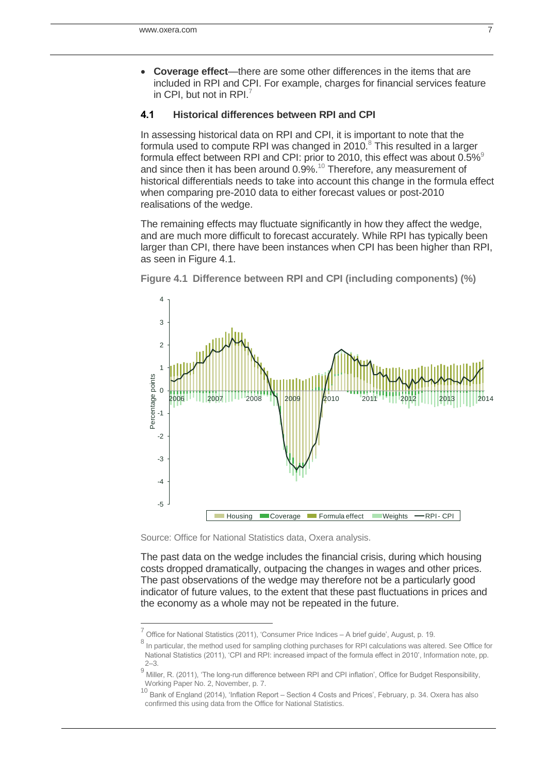**Coverage effect**—there are some other differences in the items that are included in RPI and CPI. For example, charges for financial services feature in CPI, but not in RPI.<sup>7</sup>

#### **4.1 Historical differences between RPI and CPI**

In assessing historical data on RPI and CPI, it is important to note that the formula used to compute RPI was changed in 2010. $8$  This resulted in a larger formula effect between RPI and CPI: prior to 2010, this effect was about  $0.5\%$ <sup>9</sup> and since then it has been around  $0.9\%$ .<sup>10</sup> Therefore, any measurement of historical differentials needs to take into account this change in the formula effect when comparing pre-2010 data to either forecast values or post-2010 realisations of the wedge.

The remaining effects may fluctuate significantly in how they affect the wedge, and are much more difficult to forecast accurately. While RPI has typically been larger than CPI, there have been instances when CPI has been higher than RPI, as seen in [Figure 4.1.](#page-6-0)



<span id="page-6-0"></span>**Figure 4.1 Difference between RPI and CPI (including components) (%)**

Source: Office for National Statistics data, Oxera analysis.

The past data on the wedge includes the financial crisis, during which housing costs dropped dramatically, outpacing the changes in wages and other prices. The past observations of the wedge may therefore not be a particularly good indicator of future values, to the extent that these past fluctuations in prices and the economy as a whole may not be repeated in the future.

 7 Office for National Statistics (2011), 'Consumer Price Indices – A brief guide', August, p. 19.

<sup>&</sup>lt;sup>8</sup> In particular, the method used for sampling clothing purchases for RPI calculations was altered. See Office for National Statistics (2011), 'CPI and RPI: increased impact of the formula effect in 2010', Information note, pp. 2–3.

<sup>9</sup> Miller, R. (2011), 'The long-run difference between RPI and CPI inflation', Office for Budget Responsibility, Working Paper No. 2, November, p. 7.<br>10 Dank of England (2014), inflation Par

<sup>10</sup> Bank of England (2014), 'Inflation Report – Section 4 Costs and Prices', February, p. 34. Oxera has also confirmed this using data from the Office for National Statistics.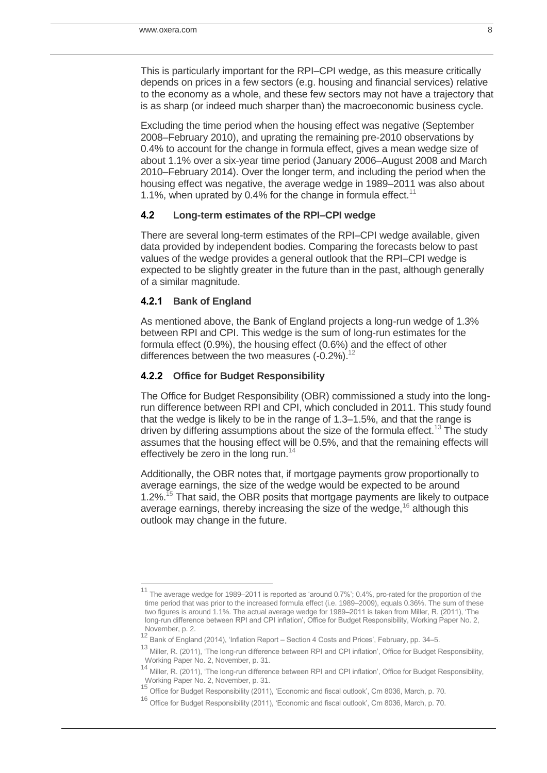This is particularly important for the RPI–CPI wedge, as this measure critically depends on prices in a few sectors (e.g. housing and financial services) relative to the economy as a whole, and these few sectors may not have a trajectory that is as sharp (or indeed much sharper than) the macroeconomic business cycle.

Excluding the time period when the housing effect was negative (September 2008–February 2010), and uprating the remaining pre-2010 observations by 0.4% to account for the change in formula effect, gives a mean wedge size of about 1.1% over a six-year time period (January 2006–August 2008 and March 2010–February 2014). Over the longer term, and including the period when the housing effect was negative, the average wedge in 1989–2011 was also about 1.1%, when uprated by 0.4% for the change in formula effect.<sup>11</sup>

#### **4.2 Long-term estimates of the RPI–CPI wedge**

There are several long-term estimates of the RPI–CPI wedge available, given data provided by independent bodies. Comparing the forecasts below to past values of the wedge provides a general outlook that the RPI–CPI wedge is expected to be slightly greater in the future than in the past, although generally of a similar magnitude.

#### **4.2.1 Bank of England**

 $\overline{a}$ 

As mentioned above, the Bank of England projects a long-run wedge of 1.3% between RPI and CPI. This wedge is the sum of long-run estimates for the formula effect (0.9%), the housing effect (0.6%) and the effect of other differences between the two measures  $(-0.2\%)$ .<sup>12</sup>

#### **4.2.2 Office for Budget Responsibility**

The Office for Budget Responsibility (OBR) commissioned a study into the longrun difference between RPI and CPI, which concluded in 2011. This study found that the wedge is likely to be in the range of 1.3–1.5%, and that the range is driven by differing assumptions about the size of the formula effect.<sup>13</sup> The study assumes that the housing effect will be 0.5%, and that the remaining effects will effectively be zero in the long run.<sup>14</sup>

Additionally, the OBR notes that, if mortgage payments grow proportionally to average earnings, the size of the wedge would be expected to be around 1.2%.<sup>15</sup> That said, the OBR posits that mortgage payments are likely to outpace average earnings, thereby increasing the size of the wedge,  $16$  although this outlook may change in the future.

<sup>11</sup> The average wedge for 1989–2011 is reported as 'around 0.7%'; 0.4%, pro-rated for the proportion of the time period that was prior to the increased formula effect (i.e. 1989–2009), equals 0.36%. The sum of these two figures is around 1.1%. The actual average wedge for 1989–2011 is taken from Miller, R. (2011), 'The long-run difference between RPI and CPI inflation', Office for Budget Responsibility, Working Paper No. 2, November, p. 2.

<sup>12</sup> Bank of England (2014), 'Inflation Report – Section 4 Costs and Prices', February, pp. 34–5.

<sup>13</sup> Miller, R. (2011), 'The long-run difference between RPI and CPI inflation', Office for Budget Responsibility, Working Paper No. 2, November, p. 31.

<sup>14</sup> Miller, R. (2011), 'The long-run difference between RPI and CPI inflation', Office for Budget Responsibility, Working Paper No. 2, November, p. 31.

<sup>15</sup> Office for Budget Responsibility (2011), 'Economic and fiscal outlook', Cm 8036, March, p. 70.

<sup>16</sup> Office for Budget Responsibility (2011), 'Economic and fiscal outlook', Cm 8036, March, p. 70.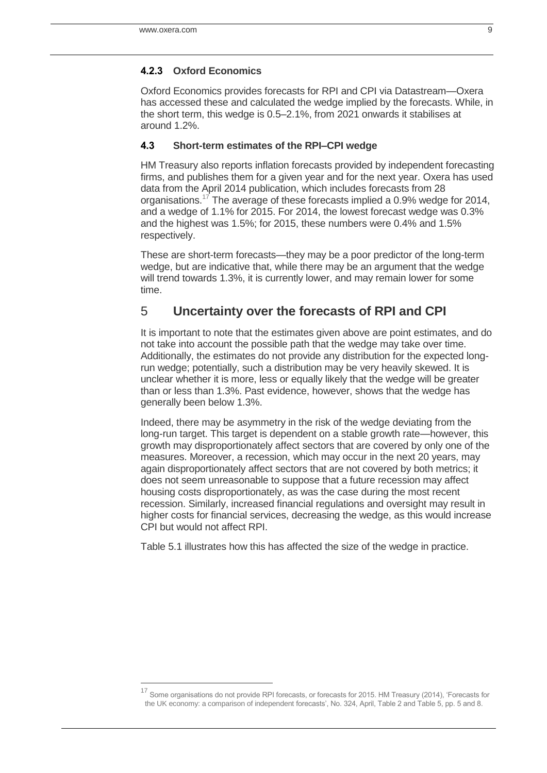$\overline{a}$ 

### **4.2.3 Oxford Economics**

Oxford Economics provides forecasts for RPI and CPI via Datastream—Oxera has accessed these and calculated the wedge implied by the forecasts. While, in the short term, this wedge is 0.5–2.1%, from 2021 onwards it stabilises at around 1.2%.

### **4.3 Short-term estimates of the RPI–CPI wedge**

HM Treasury also reports inflation forecasts provided by independent forecasting firms, and publishes them for a given year and for the next year. Oxera has used data from the April 2014 publication, which includes forecasts from 28 organisations.<sup>17</sup> The average of these forecasts implied a 0.9% wedge for 2014, and a wedge of 1.1% for 2015. For 2014, the lowest forecast wedge was 0.3% and the highest was 1.5%; for 2015, these numbers were 0.4% and 1.5% respectively.

These are short-term forecasts—they may be a poor predictor of the long-term wedge, but are indicative that, while there may be an argument that the wedge will trend towards 1.3%, it is currently lower, and may remain lower for some time.

# 5 **Uncertainty over the forecasts of RPI and CPI**

It is important to note that the estimates given above are point estimates, and do not take into account the possible path that the wedge may take over time. Additionally, the estimates do not provide any distribution for the expected longrun wedge; potentially, such a distribution may be very heavily skewed. It is unclear whether it is more, less or equally likely that the wedge will be greater than or less than 1.3%. Past evidence, however, shows that the wedge has generally been below 1.3%.

Indeed, there may be asymmetry in the risk of the wedge deviating from the long-run target. This target is dependent on a stable growth rate—however, this growth may disproportionately affect sectors that are covered by only one of the measures. Moreover, a recession, which may occur in the next 20 years, may again disproportionately affect sectors that are not covered by both metrics; it does not seem unreasonable to suppose that a future recession may affect housing costs disproportionately, as was the case during the most recent recession. Similarly, increased financial regulations and oversight may result in higher costs for financial services, decreasing the wedge, as this would increase CPI but would not affect RPI.

[Table 5.1](#page-9-0) illustrates how this has affected the size of the wedge in practice.

<sup>17</sup> Some organisations do not provide RPI forecasts, or forecasts for 2015. HM Treasury (2014), 'Forecasts for the UK economy: a comparison of independent forecasts', No. 324, April, Table 2 and Table 5, pp. 5 and 8.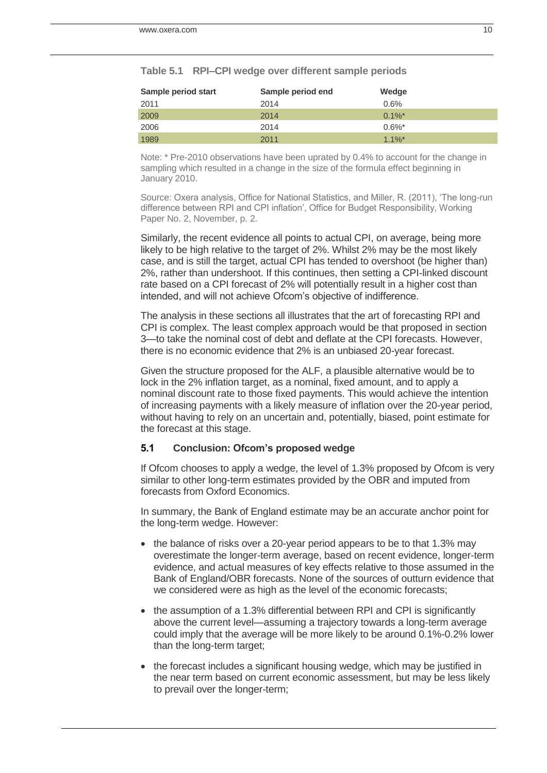| Sample period start | Sample period end | Wedge     |
|---------------------|-------------------|-----------|
| 2011                | 2014              | 0.6%      |
| 2009                | 2014              | $0.1\%$ * |
| 2006                | 2014              | $0.6\%$ * |
| 1989                | 2011              | $1.1\%$ * |

<span id="page-9-0"></span>

| Table 5.1 RPI-CPI wedge over different sample periods |  |  |  |  |
|-------------------------------------------------------|--|--|--|--|
|-------------------------------------------------------|--|--|--|--|

Note: \* Pre-2010 observations have been uprated by 0.4% to account for the change in sampling which resulted in a change in the size of the formula effect beginning in January 2010.

Source: Oxera analysis, Office for National Statistics, and Miller, R. (2011), 'The long-run difference between RPI and CPI inflation', Office for Budget Responsibility, Working Paper No. 2, November, p. 2.

Similarly, the recent evidence all points to actual CPI, on average, being more likely to be high relative to the target of 2%. Whilst 2% may be the most likely case, and is still the target, actual CPI has tended to overshoot (be higher than) 2%, rather than undershoot. If this continues, then setting a CPI-linked discount rate based on a CPI forecast of 2% will potentially result in a higher cost than intended, and will not achieve Ofcom's objective of indifference.

The analysis in these sections all illustrates that the art of forecasting RPI and CPI is complex. The least complex approach would be that proposed in section 3—to take the nominal cost of debt and deflate at the CPI forecasts. However, there is no economic evidence that 2% is an unbiased 20-year forecast.

Given the structure proposed for the ALF, a plausible alternative would be to lock in the 2% inflation target, as a nominal, fixed amount, and to apply a nominal discount rate to those fixed payments. This would achieve the intention of increasing payments with a likely measure of inflation over the 20-year period, without having to rely on an uncertain and, potentially, biased, point estimate for the forecast at this stage.

#### **5.1 Conclusion: Ofcom's proposed wedge**

If Ofcom chooses to apply a wedge, the level of 1.3% proposed by Ofcom is very similar to other long-term estimates provided by the OBR and imputed from forecasts from Oxford Economics.

In summary, the Bank of England estimate may be an accurate anchor point for the long-term wedge. However:

- the balance of risks over a 20-year period appears to be to that 1.3% may overestimate the longer-term average, based on recent evidence, longer-term evidence, and actual measures of key effects relative to those assumed in the Bank of England/OBR forecasts. None of the sources of outturn evidence that we considered were as high as the level of the economic forecasts;
- the assumption of a 1.3% differential between RPI and CPI is significantly above the current level—assuming a trajectory towards a long-term average could imply that the average will be more likely to be around 0.1%-0.2% lower than the long-term target;
- the forecast includes a significant housing wedge, which may be justified in the near term based on current economic assessment, but may be less likely to prevail over the longer-term;